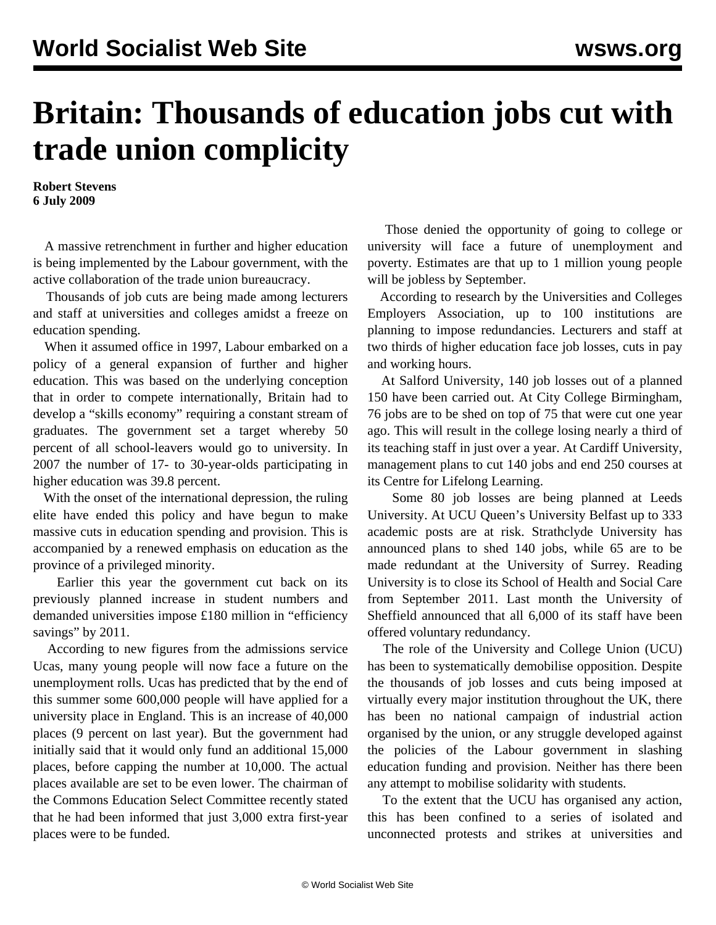## **Britain: Thousands of education jobs cut with trade union complicity**

**Robert Stevens 6 July 2009**

 A massive retrenchment in further and higher education is being implemented by the Labour government, with the active collaboration of the trade union bureaucracy.

 Thousands of job cuts are being made among lecturers and staff at universities and colleges amidst a freeze on education spending.

 When it assumed office in 1997, Labour embarked on a policy of a general expansion of further and higher education. This was based on the underlying conception that in order to compete internationally, Britain had to develop a "skills economy" requiring a constant stream of graduates. The government set a target whereby 50 percent of all school-leavers would go to university. In 2007 the number of 17- to 30-year-olds participating in higher education was 39.8 percent.

 With the onset of the international depression, the ruling elite have ended this policy and have begun to make massive cuts in education spending and provision. This is accompanied by a renewed emphasis on education as the province of a privileged minority.

 Earlier this year the government cut back on its previously planned increase in student numbers and demanded universities impose £180 million in "efficiency savings" by 2011.

 According to new figures from the admissions service Ucas, many young people will now face a future on the unemployment rolls. Ucas has predicted that by the end of this summer some 600,000 people will have applied for a university place in England. This is an increase of 40,000 places (9 percent on last year). But the government had initially said that it would only fund an additional 15,000 places, before capping the number at 10,000. The actual places available are set to be even lower. The chairman of the Commons Education Select Committee recently stated that he had been informed that just 3,000 extra first-year places were to be funded.

 Those denied the opportunity of going to college or university will face a future of unemployment and poverty. Estimates are that up to 1 million young people will be jobless by September.

 According to research by the Universities and Colleges Employers Association, up to 100 institutions are planning to impose redundancies. Lecturers and staff at two thirds of higher education face job losses, cuts in pay and working hours.

 At Salford University, 140 job losses out of a planned 150 have been carried out. At City College Birmingham, 76 jobs are to be shed on top of 75 that were cut one year ago. This will result in the college losing nearly a third of its teaching staff in just over a year. At Cardiff University, management plans to cut 140 jobs and end 250 courses at its Centre for Lifelong Learning.

 Some 80 job losses are being planned at Leeds University. At UCU Queen's University Belfast up to 333 academic posts are at risk. Strathclyde University has announced plans to shed 140 jobs, while 65 are to be made redundant at the University of Surrey. Reading University is to close its School of Health and Social Care from September 2011. Last month the University of Sheffield announced that all 6,000 of its staff have been offered voluntary redundancy.

 The role of the University and College Union (UCU) has been to systematically demobilise opposition. Despite the thousands of job losses and cuts being imposed at virtually every major institution throughout the UK, there has been no national campaign of industrial action organised by the union, or any struggle developed against the policies of the Labour government in slashing education funding and provision. Neither has there been any attempt to mobilise solidarity with students.

 To the extent that the UCU has organised any action, this has been confined to a series of isolated and unconnected protests and strikes at universities and